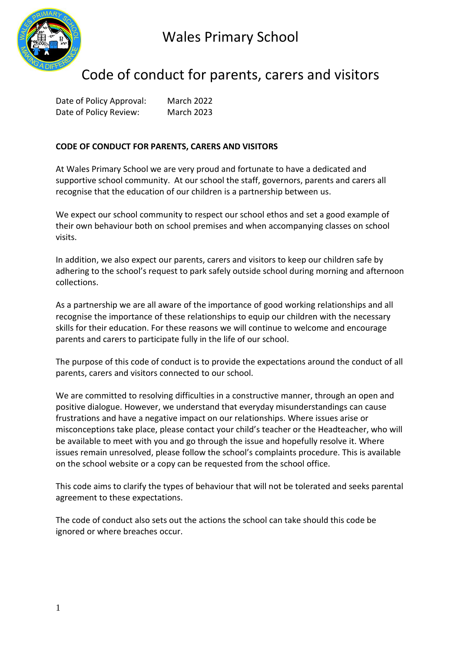



# Code of conduct for parents, carers and visitors

Date of Policy Approval: March 2022 Date of Policy Review: March 2023

### **CODE OF CONDUCT FOR PARENTS, CARERS AND VISITORS**

At Wales Primary School we are very proud and fortunate to have a dedicated and supportive school community. At our school the staff, governors, parents and carers all recognise that the education of our children is a partnership between us.

We expect our school community to respect our school ethos and set a good example of their own behaviour both on school premises and when accompanying classes on school visits.

In addition, we also expect our parents, carers and visitors to keep our children safe by adhering to the school's request to park safely outside school during morning and afternoon collections.

As a partnership we are all aware of the importance of good working relationships and all recognise the importance of these relationships to equip our children with the necessary skills for their education. For these reasons we will continue to welcome and encourage parents and carers to participate fully in the life of our school.

The purpose of this code of conduct is to provide the expectations around the conduct of all parents, carers and visitors connected to our school.

We are committed to resolving difficulties in a constructive manner, through an open and positive dialogue. However, we understand that everyday misunderstandings can cause frustrations and have a negative impact on our relationships. Where issues arise or misconceptions take place, please contact your child's teacher or the Headteacher, who will be available to meet with you and go through the issue and hopefully resolve it. Where issues remain unresolved, please follow the school's complaints procedure. This is available on the school website or a copy can be requested from the school office.

This code aims to clarify the types of behaviour that will not be tolerated and seeks parental agreement to these expectations.

The code of conduct also sets out the actions the school can take should this code be ignored or where breaches occur.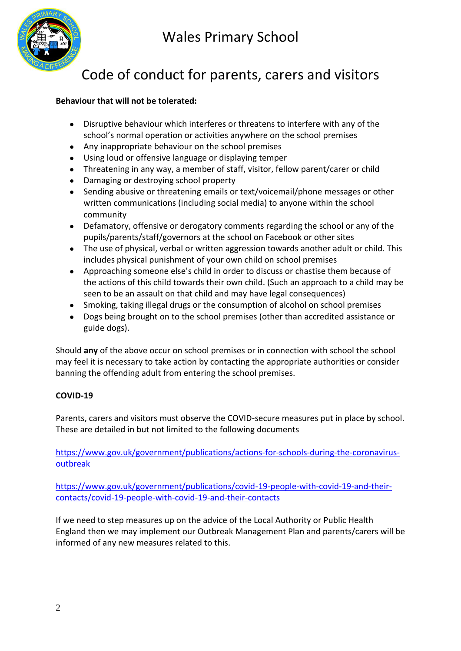Wales Primary School



# Code of conduct for parents, carers and visitors

### **Behaviour that will not be tolerated:**

- Disruptive behaviour which interferes or threatens to interfere with any of the school's normal operation or activities anywhere on the school premises
- Any inappropriate behaviour on the school premises
- Using loud or offensive language or displaying temper
- Threatening in any way, a member of staff, visitor, fellow parent/carer or child
- Damaging or destroying school property
- Sending abusive or threatening emails or text/voicemail/phone messages or other written communications (including social media) to anyone within the school community
- Defamatory, offensive or derogatory comments regarding the school or any of the pupils/parents/staff/governors at the school on Facebook or other sites
- The use of physical, verbal or written aggression towards another adult or child. This includes physical punishment of your own child on school premises
- Approaching someone else's child in order to discuss or chastise them because of the actions of this child towards their own child. (Such an approach to a child may be seen to be an assault on that child and may have legal consequences)
- Smoking, taking illegal drugs or the consumption of alcohol on school premises
- Dogs being brought on to the school premises (other than accredited assistance or guide dogs).

Should **any** of the above occur on school premises or in connection with school the school may feel it is necessary to take action by contacting the appropriate authorities or consider banning the offending adult from entering the school premises.

## **COVID-19**

Parents, carers and visitors must observe the COVID-secure measures put in place by school. These are detailed in but not limited to the following documents

[https://www.gov.uk/government/publications/actions-for-schools-during-the-coronavirus](https://www.gov.uk/government/publications/actions-for-schools-during-the-coronavirus-outbreak)[outbreak](https://www.gov.uk/government/publications/actions-for-schools-during-the-coronavirus-outbreak)

[https://www.gov.uk/government/publications/covid-19-people-with-covid-19-and-their](https://www.gov.uk/government/publications/covid-19-people-with-covid-19-and-their-contacts/covid-19-people-with-covid-19-and-their-contacts)[contacts/covid-19-people-with-covid-19-and-their-contacts](https://www.gov.uk/government/publications/covid-19-people-with-covid-19-and-their-contacts/covid-19-people-with-covid-19-and-their-contacts)

If we need to step measures up on the advice of the Local Authority or Public Health England then we may implement our Outbreak Management Plan and parents/carers will be informed of any new measures related to this.